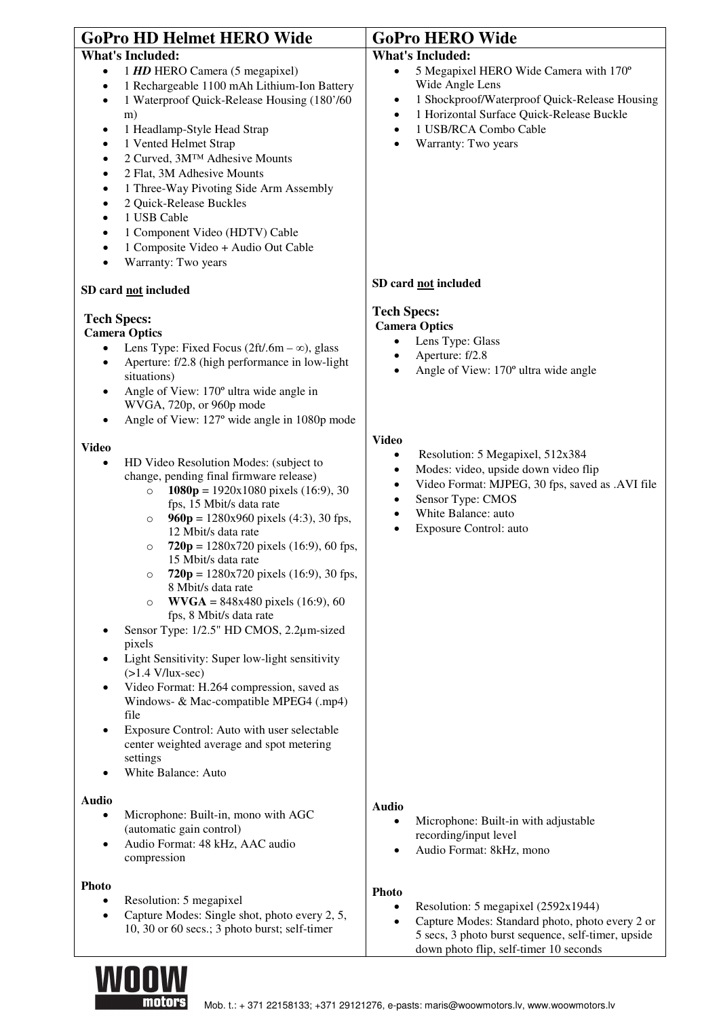| <b>GoPro HD Helmet HERO Wide</b>                                                                                                                                                                                                                                                                                                                                                                                                                                                                                                                                                                                                                                                                                                                                                                                                                                                                                                                                                                                                                                                                                                                                                                                       | <b>GoPro HERO Wide</b>                                                                                                                                                                                                                                                                                                                                                                                                                              |
|------------------------------------------------------------------------------------------------------------------------------------------------------------------------------------------------------------------------------------------------------------------------------------------------------------------------------------------------------------------------------------------------------------------------------------------------------------------------------------------------------------------------------------------------------------------------------------------------------------------------------------------------------------------------------------------------------------------------------------------------------------------------------------------------------------------------------------------------------------------------------------------------------------------------------------------------------------------------------------------------------------------------------------------------------------------------------------------------------------------------------------------------------------------------------------------------------------------------|-----------------------------------------------------------------------------------------------------------------------------------------------------------------------------------------------------------------------------------------------------------------------------------------------------------------------------------------------------------------------------------------------------------------------------------------------------|
| <b>What's Included:</b><br>1 HD HERO Camera (5 megapixel)<br>$\bullet$<br>1 Rechargeable 1100 mAh Lithium-Ion Battery<br>$\bullet$<br>1 Waterproof Quick-Release Housing (180'/60<br>$\bullet$<br>m)<br>1 Headlamp-Style Head Strap<br>٠<br>1 Vented Helmet Strap<br>٠<br>2 Curved, 3M™ Adhesive Mounts<br>٠<br>2 Flat, 3M Adhesive Mounts<br>٠<br>1 Three-Way Pivoting Side Arm Assembly<br>٠<br>2 Quick-Release Buckles<br>$\bullet$<br>1 USB Cable<br>$\bullet$<br>1 Component Video (HDTV) Cable<br>$\bullet$<br>1 Composite Video + Audio Out Cable<br>٠<br>Warranty: Two years<br>$\bullet$                                                                                                                                                                                                                                                                                                                                                                                                                                                                                                                                                                                                                      | <b>What's Included:</b><br>5 Megapixel HERO Wide Camera with 170°<br>$\bullet$<br>Wide Angle Lens<br>1 Shockproof/Waterproof Quick-Release Housing<br>$\bullet$<br>1 Horizontal Surface Quick-Release Buckle<br>$\bullet$<br>1 USB/RCA Combo Cable<br>$\bullet$<br>Warranty: Two years<br>$\bullet$                                                                                                                                                 |
| SD card not included                                                                                                                                                                                                                                                                                                                                                                                                                                                                                                                                                                                                                                                                                                                                                                                                                                                                                                                                                                                                                                                                                                                                                                                                   | SD card not included                                                                                                                                                                                                                                                                                                                                                                                                                                |
| <b>Tech Specs:</b><br><b>Camera Optics</b><br>Lens Type: Fixed Focus (2ft/.6m – $\infty$ ), glass<br>$\bullet$<br>Aperture: f/2.8 (high performance in low-light<br>$\bullet$<br>situations)<br>Angle of View: 170° ultra wide angle in<br>٠<br>WVGA, 720p, or 960p mode<br>Angle of View: 127° wide angle in 1080p mode<br>٠<br><b>Video</b><br>HD Video Resolution Modes: (subject to<br>$\bullet$<br>change, pending final firmware release)<br>1080p = $1920x1080$ pixels (16:9), 30<br>$\circ$<br>fps, 15 Mbit/s data rate<br>960p = $1280x960$ pixels (4:3), 30 fps,<br>$\circ$<br>12 Mbit/s data rate<br>$720p = 1280x720$ pixels (16:9), 60 fps,<br>$\circ$<br>15 Mbit/s data rate<br>$720p = 1280x720$ pixels (16:9), 30 fps,<br>8 Mbit/s data rate<br>$WVGA = 848x480$ pixels (16:9), 60<br>$\circ$<br>fps, 8 Mbit/s data rate<br>Sensor Type: 1/2.5" HD CMOS, 2.2µm-sized<br>pixels<br>Light Sensitivity: Super low-light sensitivity<br>٠<br>$(>1.4 \text{ V/lux-sec})$<br>Video Format: H.264 compression, saved as<br>Windows- & Mac-compatible MPEG4 (.mp4)<br>file<br>Exposure Control: Auto with user selectable<br>٠<br>center weighted average and spot metering<br>settings<br>White Balance: Auto | <b>Tech Specs:</b><br><b>Camera Optics</b><br>Lens Type: Glass<br>$\bullet$<br>Aperture: f/2.8<br>$\bullet$<br>Angle of View: 170° ultra wide angle<br>$\bullet$<br><b>Video</b><br>Resolution: 5 Megapixel, 512x384<br>٠<br>Modes: video, upside down video flip<br>$\bullet$<br>Video Format: MJPEG, 30 fps, saved as .AVI file<br>$\bullet$<br>Sensor Type: CMOS<br>٠<br>White Balance: auto<br>$\bullet$<br>Exposure Control: auto<br>$\bullet$ |
| <b>Audio</b><br>Microphone: Built-in, mono with AGC<br>$\bullet$<br>(automatic gain control)<br>Audio Format: 48 kHz, AAC audio<br>$\bullet$<br>compression                                                                                                                                                                                                                                                                                                                                                                                                                                                                                                                                                                                                                                                                                                                                                                                                                                                                                                                                                                                                                                                            | <b>Audio</b><br>Microphone: Built-in with adjustable<br>$\bullet$<br>recording/input level<br>Audio Format: 8kHz, mono                                                                                                                                                                                                                                                                                                                              |
| <b>Photo</b><br>Resolution: 5 megapixel<br>٠<br>Capture Modes: Single shot, photo every 2, 5,<br>$\bullet$<br>10, 30 or 60 secs.; 3 photo burst; self-timer                                                                                                                                                                                                                                                                                                                                                                                                                                                                                                                                                                                                                                                                                                                                                                                                                                                                                                                                                                                                                                                            | <b>Photo</b><br>Resolution: 5 megapixel (2592x1944)<br>$\bullet$<br>Capture Modes: Standard photo, photo every 2 or<br>$\bullet$<br>5 secs, 3 photo burst sequence, self-timer, upside                                                                                                                                                                                                                                                              |



down photo flip, self-timer 10 seconds